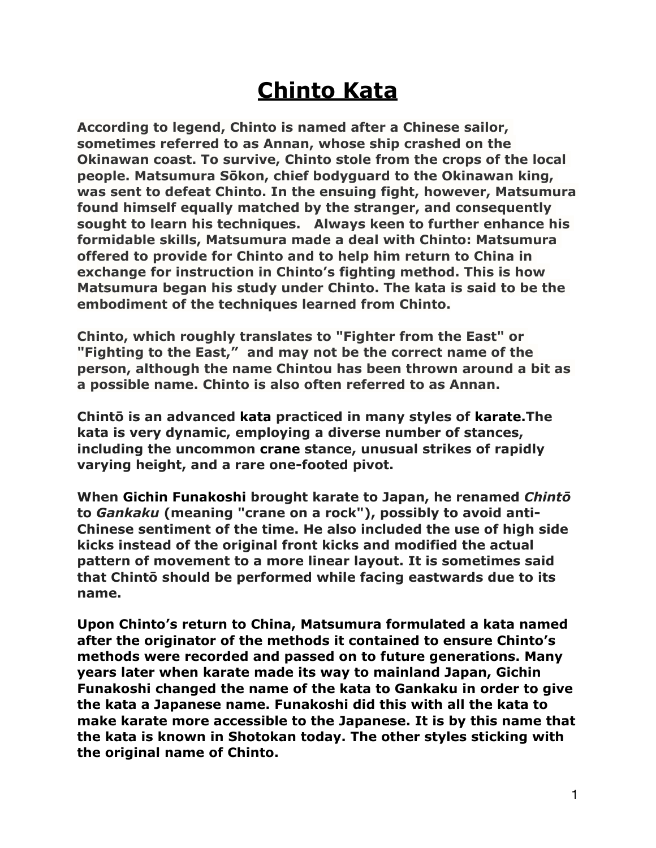## **Chinto Kata**

**According to legend, Chinto is named after a Chinese sailor, sometimes referred to as Annan, whose ship crashed on the Okinawan coast. To survive, Chinto stole from the crops of the local people. Matsumura Sōkon, chief bodyguard to the Okinawan king, was sent to defeat Chinto. In the ensuing fight, however, Matsumura found himself equally matched by the stranger, and consequently sought to learn his techniques. Always keen to further enhance his formidable skills, Matsumura made a deal with Chinto: Matsumura offered to provide for Chinto and to help him return to China in exchange for instruction in Chinto's fighting method. This is how Matsumura began his study under Chinto. The kata is said to be the embodiment of the techniques learned from Chinto.**

**Chinto, which roughly translates to "Fighter from the East" or "Fighting to the East," and may not be the correct name of the person, although the name Chintou has been thrown around a bit as a possible name. Chinto is also often referred to as Annan.** 

**Chintō is an advanced [kata](https://en.wikipedia.org/wiki/Kata) practiced in many styles of [karate.](https://en.wikipedia.org/wiki/Karate)The kata is very dynamic, employing a diverse number of stances, including the uncommon [crane](https://en.wikipedia.org/wiki/Fujian_White_Crane) stance, unusual strikes of rapidly varying height, and a rare one-footed pivot.**

**When [Gichin Funakoshi](https://en.wikipedia.org/wiki/Gichin_Funakoshi) brought karate to Japan, he renamed** *Chintō* **to** *Gankaku* **(meaning "crane on a rock"), possibly to avoid anti-Chinese sentiment of the time. He also included the use of high side kicks instead of the original front kicks and modified the actual pattern of movement to a more linear layout. It is sometimes said that Chintō should be performed while facing eastwards due to its name.** 

**Upon Chinto's return to China, Matsumura formulated a kata named after the originator of the methods it contained to ensure Chinto's methods were recorded and passed on to future generations. Many years later when karate made its way to mainland Japan, Gichin Funakoshi changed the name of the kata to Gankaku in order to give the kata a Japanese name. Funakoshi did this with all the kata to make karate more accessible to the Japanese. It is by this name that the kata is known in Shotokan today. The other styles sticking with the original name of Chinto.**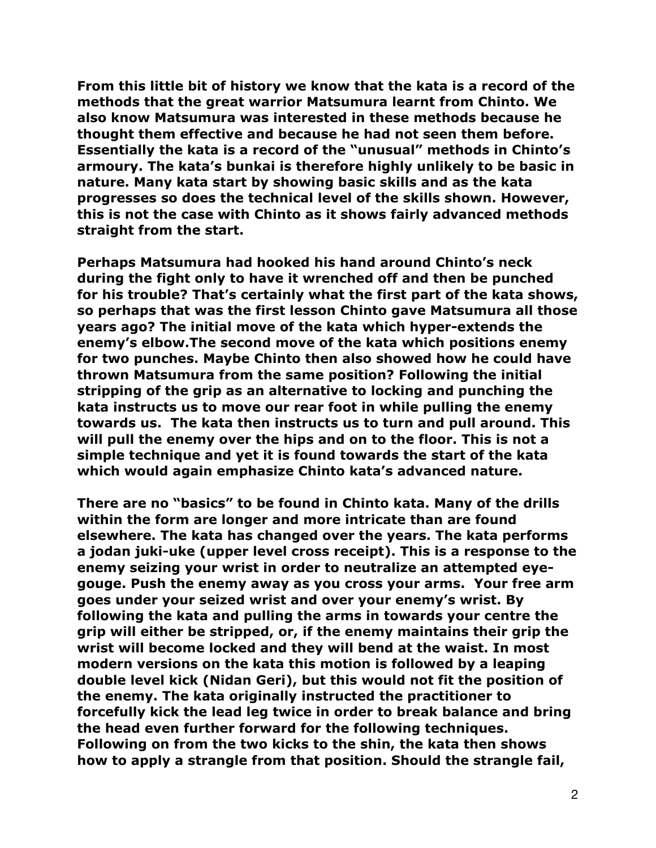**From this little bit of history we know that the kata is a record of the methods that the great warrior Matsumura learnt from Chinto. We also know Matsumura was interested in these methods because he thought them effective and because he had not seen them before. Essentially the kata is a record of the "unusual" methods in Chinto's armoury. The kata's bunkai is therefore highly unlikely to be basic in nature. Many kata start by showing basic skills and as the kata progresses so does the technical level of the skills shown. However, this is not the case with Chinto as it shows fairly advanced methods straight from the start.** 

**Perhaps Matsumura had hooked his hand around Chinto's neck during the fight only to have it wrenched off and then be punched for his trouble? That's certainly what the first part of the kata shows, so perhaps that was the first lesson Chinto gave Matsumura all those years ago? The initial move of the kata which hyper-extends the enemy's elbow.The second move of the kata which positions enemy for two punches. Maybe Chinto then also showed how he could have thrown Matsumura from the same position? Following the initial stripping of the grip as an alternative to locking and punching the kata instructs us to move our rear foot in while pulling the enemy towards us. The kata then instructs us to turn and pull around. This will pull the enemy over the hips and on to the floor. This is not a simple technique and yet it is found towards the start of the kata which would again emphasize Chinto kata's advanced nature.** 

**There are no "basics" to be found in Chinto kata. Many of the drills within the form are longer and more intricate than are found elsewhere. The kata has changed over the years. The kata performs a jodan juki-uke (upper level cross receipt). This is a response to the enemy seizing your wrist in order to neutralize an attempted eyegouge. Push the enemy away as you cross your arms. Your free arm goes under your seized wrist and over your enemy's wrist. By following the kata and pulling the arms in towards your centre the grip will either be stripped, or, if the enemy maintains their grip the wrist will become locked and they will bend at the waist. In most modern versions on the kata this motion is followed by a leaping double level kick (Nidan Geri), but this would not fit the position of the enemy. The kata originally instructed the practitioner to forcefully kick the lead leg twice in order to break balance and bring the head even further forward for the following techniques. Following on from the two kicks to the shin, the kata then shows how to apply a strangle from that position. Should the strangle fail,**